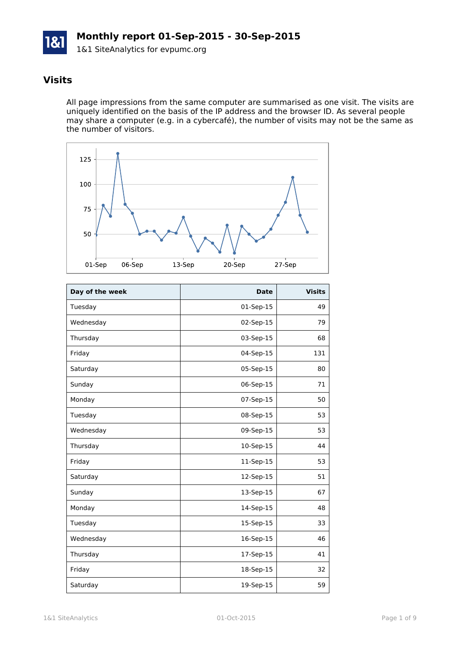# **Monthly report 01-Sep-2015 - 30-Sep-2015**

1&1 SiteAnalytics for evpumc.org

## **Visits**

All page impressions from the same computer are summarised as one visit. The visits are uniquely identified on the basis of the IP address and the browser ID. As several people may share a computer (e.g. in a cybercafé), the number of visits may not be the same as the number of visitors.



| Day of the week | <b>Date</b> | <b>Visits</b> |
|-----------------|-------------|---------------|
| Tuesday         | 01-Sep-15   | 49            |
| Wednesday       | 02-Sep-15   | 79            |
| Thursday        | 03-Sep-15   | 68            |
| Friday          | 04-Sep-15   | 131           |
| Saturday        | 05-Sep-15   | 80            |
| Sunday          | 06-Sep-15   | 71            |
| Monday          | 07-Sep-15   | 50            |
| Tuesday         | 08-Sep-15   | 53            |
| Wednesday       | 09-Sep-15   | 53            |
| Thursday        | 10-Sep-15   | 44            |
| Friday          | 11-Sep-15   | 53            |
| Saturday        | 12-Sep-15   | 51            |
| Sunday          | 13-Sep-15   | 67            |
| Monday          | 14-Sep-15   | 48            |
| Tuesday         | 15-Sep-15   | 33            |
| Wednesday       | 16-Sep-15   | 46            |
| Thursday        | 17-Sep-15   | 41            |
| Friday          | 18-Sep-15   | 32            |
| Saturday        | 19-Sep-15   | 59            |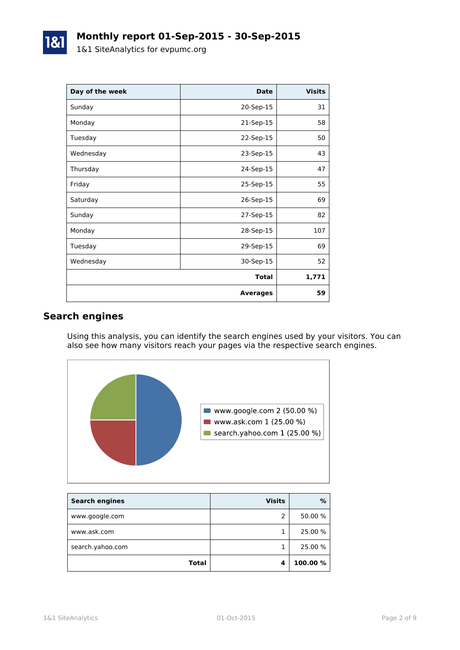| Day of the week | <b>Date</b>     | <b>Visits</b> |
|-----------------|-----------------|---------------|
| Sunday          | 20-Sep-15       | 31            |
| Monday          | 21-Sep-15       | 58            |
| Tuesday         | 22-Sep-15       | 50            |
| Wednesday       | 23-Sep-15       | 43            |
| Thursday        | 24-Sep-15       | 47            |
| Friday          | 25-Sep-15       | 55            |
| Saturday        | 26-Sep-15       | 69            |
| Sunday          | 27-Sep-15       | 82            |
| Monday          | 28-Sep-15       | 107           |
| Tuesday         | 29-Sep-15       | 69            |
| Wednesday       | 30-Sep-15       | 52            |
|                 | <b>Total</b>    | 1,771         |
|                 | <b>Averages</b> | 59            |

## **Search engines**

Using this analysis, you can identify the search engines used by your visitors. You can also see how many visitors reach your pages via the respective search engines.



| <b>Search engines</b> | <b>Visits</b> | %        |
|-----------------------|---------------|----------|
| www.google.com        |               | 50.00 %  |
| www.ask.com           |               | 25.00 %  |
| search.yahoo.com      |               | 25.00 %  |
| <b>Total</b>          |               | 100.00 % |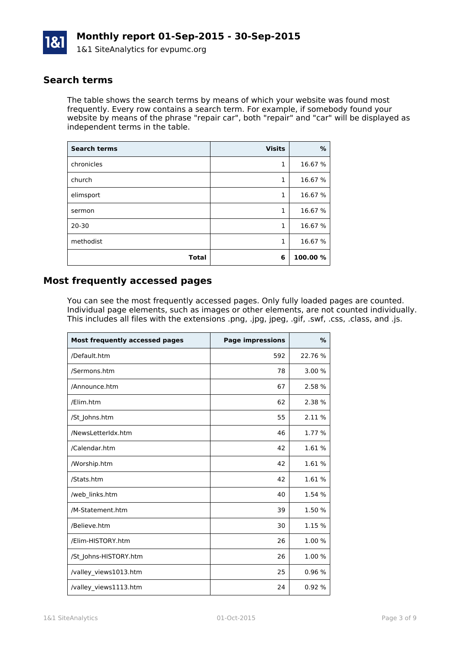

### **Search terms**

The table shows the search terms by means of which your website was found most frequently. Every row contains a search term. For example, if somebody found your website by means of the phrase "repair car", both "repair" and "car" will be displayed as independent terms in the table.

| <b>Search terms</b> | <b>Visits</b> | $\%$     |
|---------------------|---------------|----------|
| chronicles          | 1             | 16.67 %  |
| church              | 1             | 16.67 %  |
| elimsport           | 1             | 16.67 %  |
| sermon              | 1             | 16.67 %  |
| $20 - 30$           | 1             | 16.67 %  |
| methodist           | 1             | 16.67 %  |
| <b>Total</b>        | 6             | 100.00 % |

### **Most frequently accessed pages**

You can see the most frequently accessed pages. Only fully loaded pages are counted. Individual page elements, such as images or other elements, are not counted individually. This includes all files with the extensions .png, .jpg, jpeg, .gif, .swf, .css, .class, and .js.

| Most frequently accessed pages | <b>Page impressions</b> | $\%$    |
|--------------------------------|-------------------------|---------|
| /Default.htm                   | 592                     | 22.76 % |
| /Sermons.htm                   | 78                      | 3.00%   |
| /Announce.htm                  | 67                      | 2.58 %  |
| /Elim.htm                      | 62                      | 2.38 %  |
| /St_Johns.htm                  | 55                      | 2.11 %  |
| /NewsLetterIdx.htm             | 46                      | 1.77 %  |
| /Calendar.htm                  | 42                      | 1.61 %  |
| /Worship.htm                   | 42                      | 1.61 %  |
| /Stats.htm                     | 42                      | 1.61 %  |
| /web_links.htm                 | 40                      | 1.54 %  |
| /M-Statement.htm               | 39                      | 1.50 %  |
| /Believe.htm                   | 30                      | 1.15 %  |
| /Elim-HISTORY.htm              | 26                      | 1.00 %  |
| /St_Johns-HISTORY.htm          | 26                      | 1.00 %  |
| /valley_views1013.htm          | 25                      | 0.96 %  |
| /valley_views1113.htm          | 24                      | 0.92%   |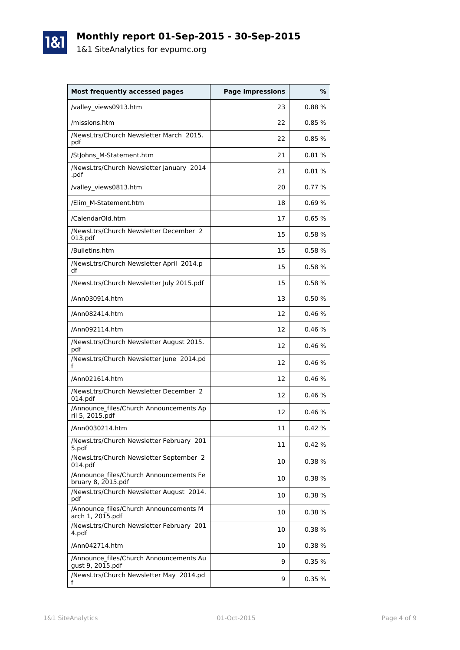# **Monthly report 01-Sep-2015 - 30-Sep-2015**

1&1 SiteAnalytics for evpumc.org

| <b>Most frequently accessed pages</b>                         | <b>Page impressions</b> | %          |
|---------------------------------------------------------------|-------------------------|------------|
| /valley_views0913.htm                                         | 23                      | 0.88%      |
| /missions.htm                                                 | 22                      | 0.85%      |
| /NewsLtrs/Church Newsletter March 2015.<br>pdf                | 22                      | 0.85%      |
| /Stjohns M-Statement.htm                                      | 21                      | $0.81\ \%$ |
| /NewsLtrs/Church Newsletter January 2014<br>.pdf              | 21                      | 0.81%      |
| /valley views0813.htm                                         | 20                      | 0.77%      |
| /Elim_M-Statement.htm                                         | 18                      | 0.69%      |
| /CalendarOld.htm                                              | 17                      | 0.65%      |
| /NewsLtrs/Church Newsletter December 2<br>013.pdf             | 15                      | 0.58%      |
| /Bulletins.htm                                                | 15                      | 0.58%      |
| /NewsLtrs/Church Newsletter April 2014.p<br>df                | 15                      | 0.58%      |
| /NewsLtrs/Church Newsletter July 2015.pdf                     | 15                      | 0.58%      |
| /Ann030914.htm                                                | 13                      | 0.50%      |
| /Ann082414.htm                                                | 12                      | 0.46%      |
| /Ann092114.htm                                                | 12                      | 0.46%      |
| /NewsLtrs/Church Newsletter August 2015.<br>pdf               | 12                      | 0.46%      |
| /NewsLtrs/Church Newsletter June 2014.pd                      | 12                      | 0.46%      |
| /Ann021614.htm                                                | 12                      | 0.46%      |
| /NewsLtrs/Church Newsletter December 2<br>014.pdf             | 12                      | 0.46%      |
| /Announce files/Church Announcements Ap<br>ril 5, 2015.pdf    | 12                      | 0.46%      |
| /Ann0030214.htm                                               | 11                      | 0.42%      |
| /NewsLtrs/Church Newsletter February 201<br>5.pdf             | 11                      | 0.42%      |
| /NewsLtrs/Church Newsletter September 2<br>014.pdf            | 10                      | 0.38 %     |
| /Announce files/Church Announcements Fe<br>bruary 8, 2015.pdf | 10                      | 0.38 %     |
| /NewsLtrs/Church Newsletter August 2014.<br>pdf               | 10                      | 0.38%      |
| /Announce files/Church Announcements M<br>arch 1, 2015.pdf    | 10                      | 0.38%      |
| /NewsLtrs/Church Newsletter February 201<br>4.pdf             | 10                      | 0.38 %     |
| /Ann042714.htm                                                | 10                      | 0.38%      |
| /Announce files/Church Announcements Au<br>gust 9, 2015.pdf   | 9                       | 0.35%      |
| /NewsLtrs/Church Newsletter May 2014.pd<br>f                  | 9                       | 0.35%      |

1&1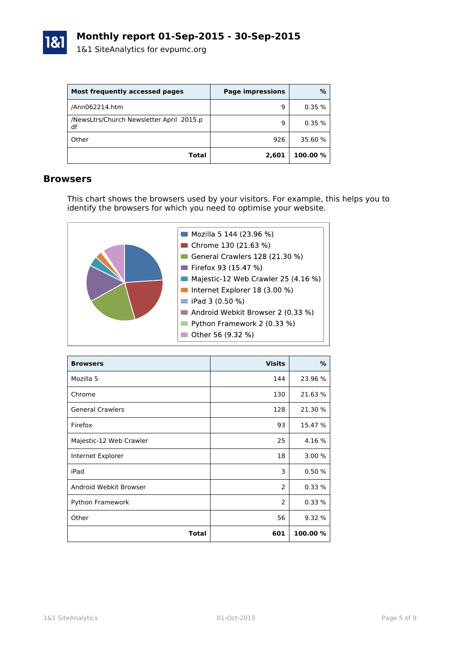

| Most frequently accessed pages                 | <b>Page impressions</b> | %        |
|------------------------------------------------|-------------------------|----------|
| /Ann062214.htm                                 | 9                       | 0.35%    |
| /NewsLtrs/Church Newsletter April 2015.p<br>df | 9                       | 0.35%    |
| Other                                          | 926                     | 35.60 %  |
| Total                                          | 2,601                   | 100.00 % |

#### **Browsers**

This chart shows the browsers used by your visitors. For example, this helps you to identify the browsers for which you need to optimise your website.



| <b>Browsers</b>         | <b>Visits</b>  | ℅        |
|-------------------------|----------------|----------|
| Mozilla 5               | 144            | 23.96 %  |
| Chrome                  | 130            | 21.63%   |
| <b>General Crawlers</b> | 128            | 21.30 %  |
| Firefox                 | 93             | 15.47 %  |
| Majestic-12 Web Crawler | 25             | 4.16 %   |
| Internet Explorer       | 18             | 3.00%    |
| iPad                    | 3              | 0.50%    |
| Android Webkit Browser  | $\overline{2}$ | 0.33%    |
| Python Framework        | $\overline{2}$ | 0.33%    |
| Other                   | 56             | 9.32 %   |
| Total                   | 601            | 100.00 % |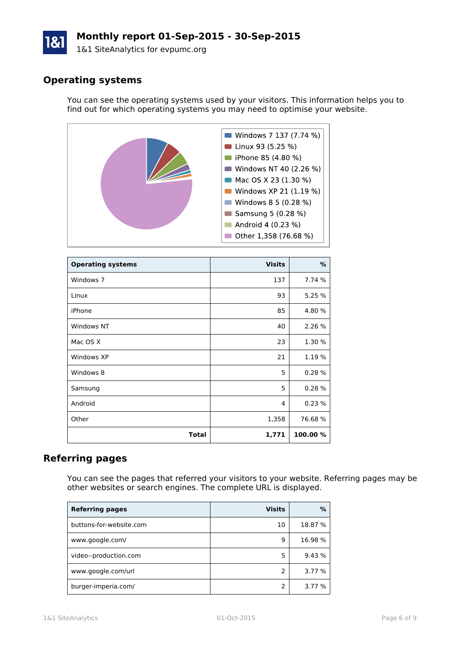# **Monthly report 01-Sep-2015 - 30-Sep-2015**

1&1 SiteAnalytics for evpumc.org

## **Operating systems**

You can see the operating systems used by your visitors. This information helps you to find out for which operating systems you may need to optimise your website.



| <b>Operating systems</b> | <b>Visits</b> | %        |
|--------------------------|---------------|----------|
| Windows 7                | 137           | 7.74 %   |
| Linux                    | 93            | 5.25 %   |
| iPhone                   | 85            | 4.80 %   |
| Windows NT               | 40            | 2.26 %   |
| Mac OS X                 | 23            | 1.30 %   |
| Windows XP               | 21            | 1.19 %   |
| Windows 8                | 5             | 0.28%    |
| Samsung                  | 5             | 0.28%    |
| Android                  | 4             | 0.23%    |
| Other                    | 1,358         | 76.68%   |
| <b>Total</b>             | 1,771         | 100.00 % |

### **Referring pages**

You can see the pages that referred your visitors to your website. Referring pages may be other websites or search engines. The complete URL is displayed.

| <b>Referring pages</b>  | <b>Visits</b> | %       |
|-------------------------|---------------|---------|
| buttons-for-website.com | 10            | 18.87 % |
| www.google.com/         | q             | 16.98 % |
| video--production.com   | 5             | 9.43 %  |
| www.google.com/url      | 2             | 3.77 %  |
| burger-imperia.com/     | 2             | 3.77 %  |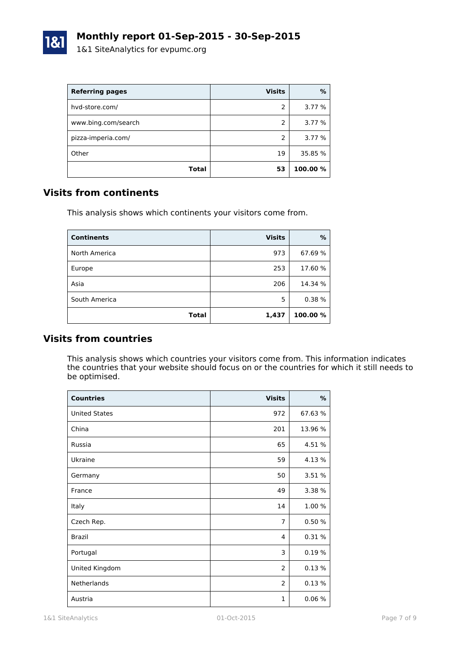

| <b>Referring pages</b> | <b>Visits</b> | %        |
|------------------------|---------------|----------|
| hvd-store.com/         | 2             | 3.77 %   |
| www.bing.com/search    | 2             | 3.77 %   |
| pizza-imperia.com/     | $\mathcal{P}$ | 3.77 %   |
| Other                  | 19            | 35.85 %  |
| Total                  | 53            | 100.00 % |

### **Visits from continents**

This analysis shows which continents your visitors come from.

| <b>Continents</b> | <b>Visits</b> | %        |
|-------------------|---------------|----------|
| North America     | 973           | 67.69%   |
| Europe            | 253           | 17.60 %  |
| Asia              | 206           | 14.34 %  |
| South America     | 5             | 0.38%    |
| <b>Total</b>      | 1,437         | 100.00 % |

### **Visits from countries**

This analysis shows which countries your visitors come from. This information indicates the countries that your website should focus on or the countries for which it still needs to be optimised.

| <b>Countries</b>     | <b>Visits</b>  | %       |
|----------------------|----------------|---------|
| <b>United States</b> | 972            | 67.63 % |
| China                | 201            | 13.96 % |
| Russia               | 65             | 4.51 %  |
| Ukraine              | 59             | 4.13 %  |
| Germany              | 50             | 3.51 %  |
| France               | 49             | 3.38 %  |
| Italy                | 14             | 1.00 %  |
| Czech Rep.           | $\overline{7}$ | 0.50%   |
| Brazil               | 4              | 0.31%   |
| Portugal             | 3              | 0.19%   |
| United Kingdom       | $\overline{2}$ | 0.13%   |
| Netherlands          | $\overline{2}$ | 0.13%   |
| Austria              | $\mathbf{1}$   | 0.06%   |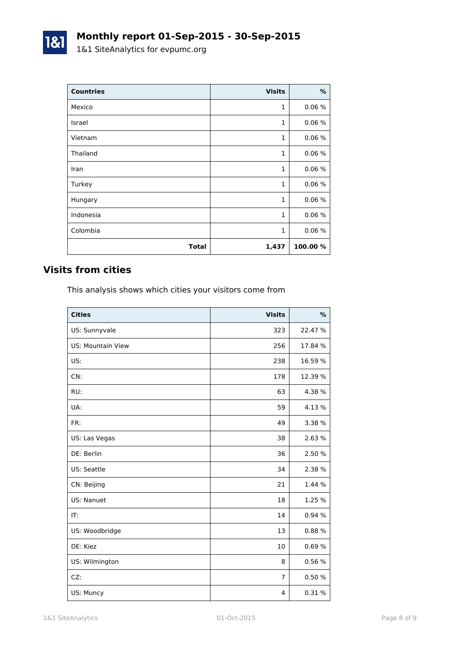| <b>Countries</b> | <b>Visits</b> | %        |
|------------------|---------------|----------|
| Mexico           | 1             | 0.06%    |
| Israel           | $\mathbf{1}$  | 0.06%    |
| Vietnam          | $\mathbf{1}$  | 0.06%    |
| Thailand         | $\mathbf{1}$  | 0.06%    |
| Iran             | 1             | 0.06%    |
| Turkey           | 1             | 0.06%    |
| Hungary          | $\mathbf{1}$  | 0.06%    |
| Indonesia        | $\mathbf{1}$  | 0.06%    |
| Colombia         | $\mathbf{1}$  | 0.06%    |
| <b>Total</b>     | 1,437         | 100.00 % |

# **Visits from cities**

1&1

This analysis shows which cities your visitors come from

| <b>Cities</b>            | <b>Visits</b>  | %       |
|--------------------------|----------------|---------|
| US: Sunnyvale            | 323            | 22.47 % |
| <b>US: Mountain View</b> | 256            | 17.84 % |
| US:                      | 238            | 16.59 % |
| CN:                      | 178            | 12.39 % |
| RU:                      | 63             | 4.38 %  |
| UA:                      | 59             | 4.13 %  |
| FR:                      | 49             | 3.38 %  |
| US: Las Vegas            | 38             | 2.63 %  |
| DE: Berlin               | 36             | 2.50 %  |
| US: Seattle              | 34             | 2.38 %  |
| CN: Beijing              | 21             | 1.44 %  |
| US: Nanuet               | 18             | 1.25 %  |
| IT:                      | 14             | 0.94 %  |
| US: Woodbridge           | 13             | 0.88%   |
| DE: Kiez                 | 10             | 0.69%   |
| US: Wilmington           | 8              | 0.56 %  |
| CZ:                      | $\overline{7}$ | 0.50 %  |
| US: Muncy                | 4              | 0.31%   |